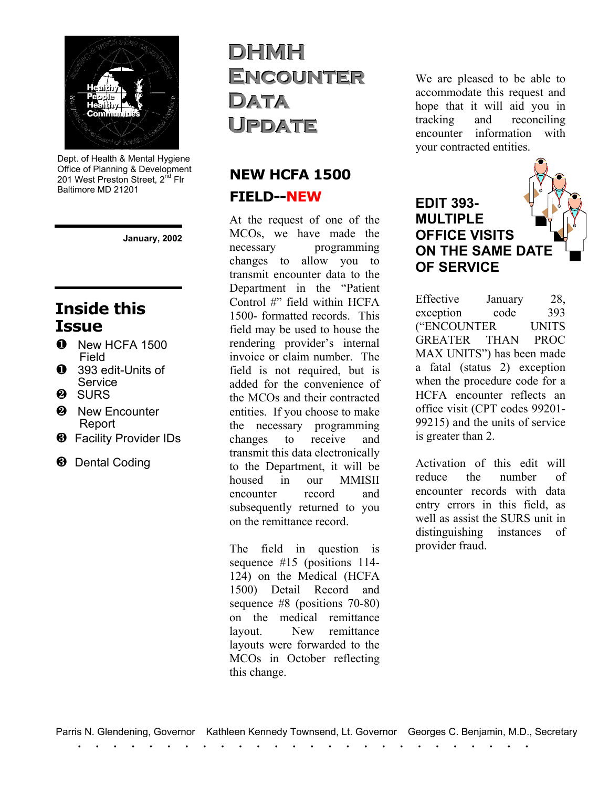

Dept. of Health & Mental Hygiene Office of Planning & Development 201 West Preston Street, 2<sup>nd</sup> Flr Baltimore MD 21201

**January, 2002**

### **Inside this Issue**

- **O** New HCFA 1500 Field
- **1** 393 edit-Units of **Service**
- **2** SURS
- <sup>2</sup> New Encounter Report
- **8** Facility Provider IDs
- **8** Dental Coding

## **DHMH ENCOUNTER DATA**  ${\color{MyBlue}\textrm{UPDATE}}$

#### **NEW HCFA 1500 FIELD--NEW**

At the request of one of the MCOs, we have made the necessary programming changes to allow you to transmit encounter data to the Department in the "Patient Control #" field within HCFA 1500- formatted records. This field may be used to house the rendering provider's internal invoice or claim number. The field is not required, but is added for the convenience of the MCOs and their contracted entities. If you choose to make the necessary programming changes to receive and transmit this data electronically to the Department, it will be housed in our MMISII encounter record and subsequently returned to you on the remittance record.

The field in question is sequence #15 (positions 114- 124) on the Medical (HCFA 1500) Detail Record and sequence #8 (positions 70-80) on the medical remittance layout. New remittance layouts were forwarded to the MCOs in October reflecting this change.

We are pleased to be able to accommodate this request and hope that it will aid you in tracking and reconciling encounter information with your contracted entities.

#### **EDIT 393- MULTIPLE OFFICE VISITS ON THE SAME DATE OF SERVICE**

Effective January 28, exception code 393 ("ENCOUNTER UNITS GREATER THAN PROC MAX UNITS") has been made a fatal (status 2) exception when the procedure code for a HCFA encounter reflects an office visit (CPT codes 99201- 99215) and the units of service is greater than 2.

Activation of this edit will reduce the number of encounter records with data entry errors in this field, as well as assist the SURS unit in distinguishing instances of provider fraud.

. . . . . . . . . . . . . . . . . . . . . . . . . . Parris N. Glendening, Governor Kathleen Kennedy Townsend, Lt. Governor Georges C. Benjamin, M.D., Secretary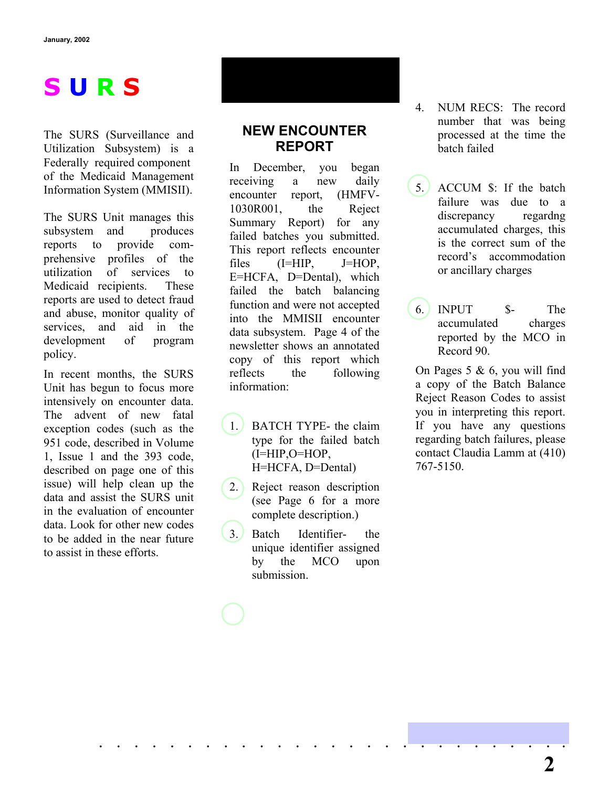# **S U R S**

The SURS (Surveillance and Utilization Subsystem) is a Federally required component of the Medicaid Management Information System (MMISII).

The SURS Unit manages this subsystem and produces reports to provide comprehensive profiles of the utilization of services to Medicaid recipients. These reports are used to detect fraud and abuse, monitor quality of services, and aid in the development of program policy.

In recent months, the SURS Unit has begun to focus more intensively on encounter data. The advent of new fatal exception codes (such as the 951 code, described in Volume 1, Issue 1 and the 393 code, described on page one of this issue) will help clean up the data and assist the SURS unit in the evaluation of encounter data. Look for other new codes to be added in the near future to assist in these efforts.

#### **NEW ENCOUNTER REPORT**

In December, you began receiving a new daily encounter report, (HMFV-1030R001, the Reject Summary Report) for any failed batches you submitted. This report reflects encounter files (I=HIP, J=HOP, E=HCFA, D=Dental), which failed the batch balancing function and were not accepted into the MMISII encounter data subsystem. Page 4 of the newsletter shows an annotated copy of this report which reflects the following information:

- 1. BATCH TYPE- the claim type for the failed batch (I=HIP,O=HOP, H=HCFA, D=Dental)
- 2. Reject reason description (see Page 6 for a more complete description.)
- 3. Batch Identifier- the unique identifier assigned by the MCO upon submission.

. . . . . . . . . . . . . . . . . . . . . . . . . . .

4. NUM RECS: The record number that was being processed at the time the batch failed

5. ACCUM \$: If the batch failure was due to a discrepancy regardng accumulated charges, this is the correct sum of the record's accommodation or ancillary charges

6. INPUT \$- The accumulated charges reported by the MCO in Record 90.

On Pages  $5 \& 6$ , you will find a copy of the Batch Balance Reject Reason Codes to assist you in interpreting this report. If you have any questions regarding batch failures, please contact Claudia Lamm at (410) 767-5150.